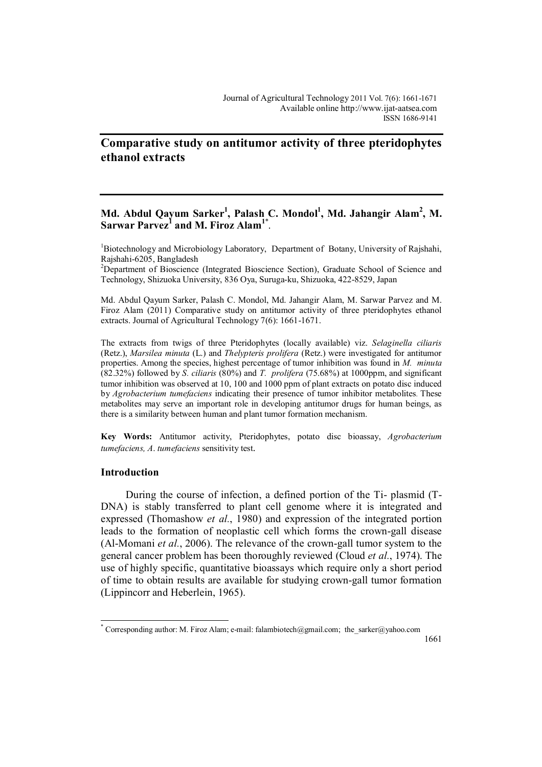# **Comparative study on antitumor activity of three pteridophytes ethanol extracts**

# **Md. Abdul Qayum Sarker<sup>1</sup> , Palash C. Mondol<sup>1</sup> , Md. Jahangir Alam<sup>2</sup> , M. Sarwar Parvez<sup>1</sup> and M. Firoz Alam<sup>1</sup>**\* .

<sup>1</sup>Biotechnology and Microbiology Laboratory, Department of Botany, University of Rajshahi, Rajshahi-6205, Bangladesh

<sup>2</sup>Department of Bioscience (Integrated Bioscience Section), Graduate School of Science and Technology, Shizuoka University, 836 Oya, Suruga-ku, Shizuoka, 422-8529, Japan

Md. Abdul Qayum Sarker, Palash C. Mondol, Md. Jahangir Alam, M. Sarwar Parvez and M. Firoz Alam (2011) Comparative study on antitumor activity of three pteridophytes ethanol extracts. Journal of Agricultural Technology 7(6): 1661-1671.

The extracts from twigs of three Pteridophytes (locally available) viz. *Selaginella ciliaris*  (Retz.), *Marsilea minuta* (L.) and *Thelypteris prolifera* (Retz.) were investigated for antitumor properties. Among the species, highest percentage of tumor inhibition was found in *M. minuta*  (82.32%) followed by *S. ciliaris* (80%) and *T. prolifera* (75.68%) at 1000ppm, and significant tumor inhibition was observed at 10, 100 and 1000 ppm of plant extracts on potato disc induced by *Agrobacterium tumefaciens* indicating their presence of tumor inhibitor metabolites. These metabolites may serve an important role in developing antitumor drugs for human beings, as there is a similarity between human and plant tumor formation mechanism.

**Key Words:** Antitumor activity, Pteridophytes, potato disc bioassay, *Agrobacterium tumefaciens, A*. *tumefaciens* sensitivity test.

## **Introduction**

 $\overline{a}$ 

During the course of infection, a defined portion of the Ti- plasmid (T-DNA) is stably transferred to plant cell genome where it is integrated and expressed (Thomashow *et al.*, 1980) and expression of the integrated portion leads to the formation of neoplastic cell which forms the crown-gall disease (Al-Momani *et al.*, 2006). The relevance of the crown-gall tumor system to the general cancer problem has been thoroughly reviewed (Cloud *et al.*, 1974). The use of highly specific, quantitative bioassays which require only a short period of time to obtain results are available for studying crown-gall tumor formation (Lippincorr and Heberlein, 1965).

<sup>\*</sup> Corresponding author: M. Firoz Alam; e-mail: falambiotech@gmail.com; the sarker@yahoo.com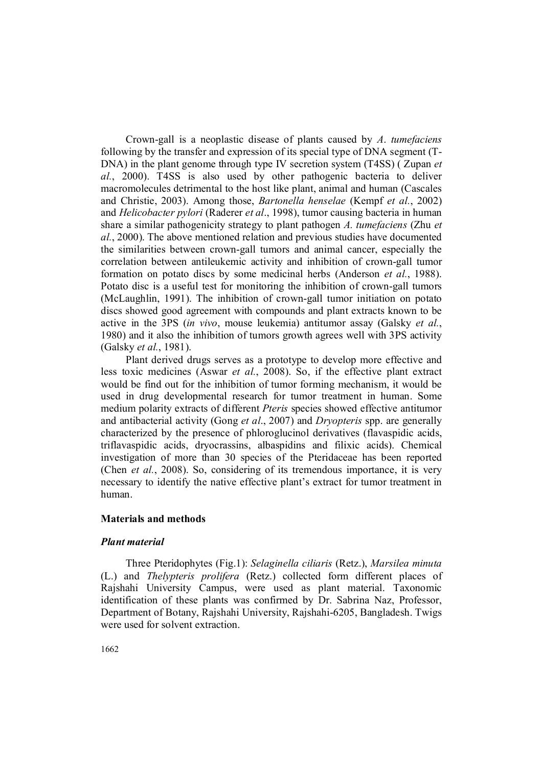Crown-gall is a neoplastic disease of plants caused by *A*. *tumefaciens* following by the transfer and expression of its special type of DNA segment (T-DNA) in the plant genome through type IV secretion system (T4SS) ( Zupan *et al.*, 2000). T4SS is also used by other pathogenic bacteria to deliver macromolecules detrimental to the host like plant, animal and human (Cascales and Christie, 2003). Among those, *Bartonella henselae* (Kempf *et al.*, 2002) and *Helicobacter pylori* (Raderer *et al*., 1998), tumor causing bacteria in human share a similar pathogenicity strategy to plant pathogen *A. tumefaciens* (Zhu *et al.*, 2000). The above mentioned relation and previous studies have documented the similarities between crown-gall tumors and animal cancer, especially the correlation between antileukemic activity and inhibition of crown-gall tumor formation on potato discs by some medicinal herbs (Anderson *et al.*, 1988). Potato disc is a useful test for monitoring the inhibition of crown-gall tumors (McLaughlin, 1991). The inhibition of crown-gall tumor initiation on potato discs showed good agreement with compounds and plant extracts known to be active in the 3PS (*in vivo*, mouse leukemia) antitumor assay (Galsky *et al.*, 1980) and it also the inhibition of tumors growth agrees well with 3PS activity (Galsky *et al.*, 1981).

Plant derived drugs serves as a prototype to develop more effective and less toxic medicines (Aswar *et al.*, 2008). So, if the effective plant extract would be find out for the inhibition of tumor forming mechanism, it would be used in drug developmental research for tumor treatment in human. Some medium polarity extracts of different *Pteris* species showed effective antitumor and antibacterial activity (Gong *et al*., 2007) and *Dryopteris* spp. are generally characterized by the presence of phloroglucinol derivatives (flavaspidic acids, triflavaspidic acids, dryocrassins, albaspidins and filixic acids). Chemical investigation of more than 30 species of the Pteridaceae has been reported (Chen *et al.*, 2008). So, considering of its tremendous importance, it is very necessary to identify the native effective plant's extract for tumor treatment in human.

#### **Materials and methods**

### *Plant material*

Three Pteridophytes (Fig.1): *Selaginella ciliaris* (Retz.), *Marsilea minuta*  (L.) and *Thelypteris prolifera* (Retz.) collected form different places of Rajshahi University Campus, were used as plant material. Taxonomic identification of these plants was confirmed by Dr. Sabrina Naz, Professor, Department of Botany, Rajshahi University, Rajshahi-6205, Bangladesh. Twigs were used for solvent extraction.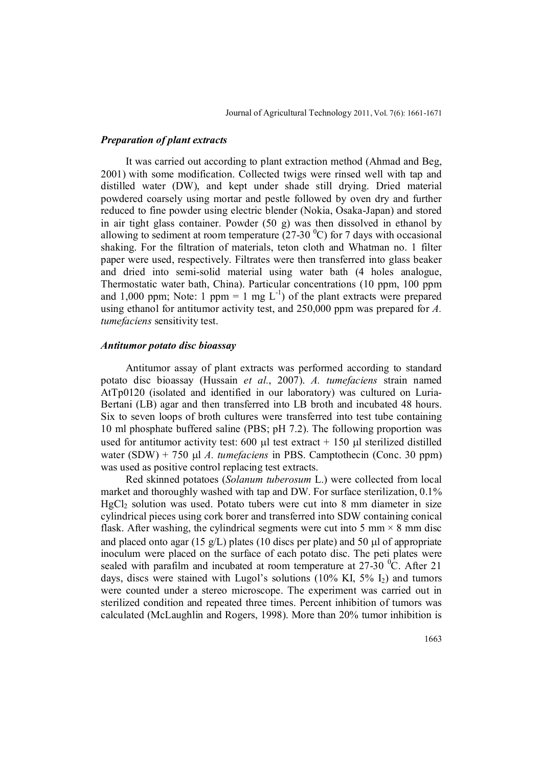#### *Preparation of plant extracts*

It was carried out according to plant extraction method (Ahmad and Beg, 2001) with some modification. Collected twigs were rinsed well with tap and distilled water (DW), and kept under shade still drying. Dried material powdered coarsely using mortar and pestle followed by oven dry and further reduced to fine powder using electric blender (Nokia, Osaka-Japan) and stored in air tight glass container. Powder (50 g) was then dissolved in ethanol by allowing to sediment at room temperature (27-30  $^{\circ}$ C) for 7 days with occasional shaking. For the filtration of materials, teton cloth and Whatman no. 1 filter paper were used, respectively. Filtrates were then transferred into glass beaker and dried into semi-solid material using water bath (4 holes analogue, Thermostatic water bath, China). Particular concentrations (10 ppm, 100 ppm and 1,000 ppm; Note: 1 ppm = 1 mg  $L^{-1}$ ) of the plant extracts were prepared using ethanol for antitumor activity test, and 250,000 ppm was prepared for *A. tumefaciens* sensitivity test.

### *Antitumor potato disc bioassay*

Antitumor assay of plant extracts was performed according to standard potato disc bioassay (Hussain *et al.*, 2007). *A. tumefaciens* strain named AtTp0120 (isolated and identified in our laboratory) was cultured on Luria-Bertani (LB) agar and then transferred into LB broth and incubated 48 hours. Six to seven loops of broth cultures were transferred into test tube containing 10 ml phosphate buffered saline (PBS; pH 7.2). The following proportion was used for antitumor activity test:  $600 \mu l$  test extract  $+ 150 \mu l$  sterilized distilled water  $(SDW) + 750 \text{ µ}$  *A. tumefaciens* in PBS. Camptothecin (Conc. 30 ppm) was used as positive control replacing test extracts.

Red skinned potatoes (*Solanum tuberosum* L.) were collected from local market and thoroughly washed with tap and DW. For surface sterilization, 0.1% HgCl<sub>2</sub> solution was used. Potato tubers were cut into 8 mm diameter in size cylindrical pieces using cork borer and transferred into SDW containing conical flask. After washing, the cylindrical segments were cut into 5 mm  $\times$  8 mm disc and placed onto agar (15 g/L) plates (10 discs per plate) and 50  $\mu$  of appropriate inoculum were placed on the surface of each potato disc. The peti plates were sealed with parafilm and incubated at room temperature at  $27\text{-}30\text{ °C}$ . After 21 days, discs were stained with Lugol's solutions  $(10\% \text{ KI}, 5\% \text{ I}_2)$  and tumors were counted under a stereo microscope. The experiment was carried out in sterilized condition and repeated three times. Percent inhibition of tumors was calculated (McLaughlin and Rogers, 1998). More than 20% tumor inhibition is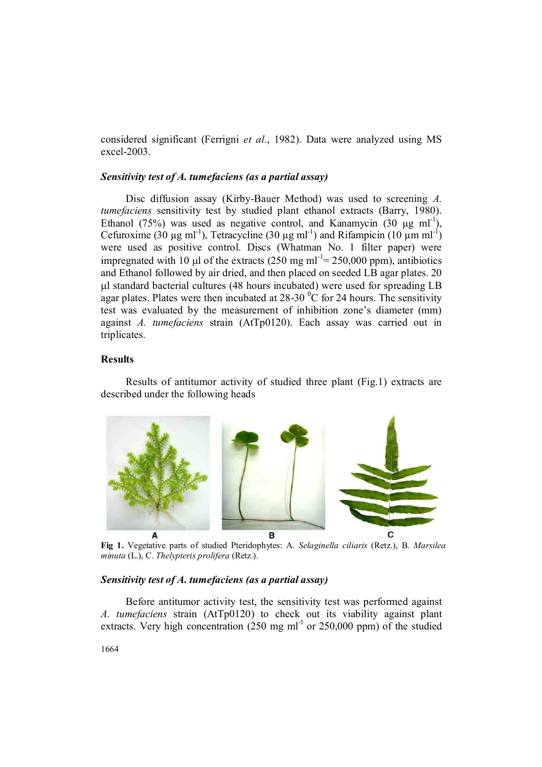considered significant (Ferrigni *et al.*, 1982). Data were analyzed using MS excel-2003.

# *Sensitivity test of A. tumefaciens (as a partial assay)*

Disc diffusion assay (Kirby-Bauer Method) was used to screening *A. tumefaciens* sensitivity test by studied plant ethanol extracts (Barry, 1980). Ethanol (75%) was used as negative control, and Kanamycin (30  $\mu$ g ml<sup>-1</sup>), Cefuroxime (30  $\mu$ g ml<sup>-1</sup>), Tetracycline (30  $\mu$ g ml<sup>-1</sup>) and Rifampicin (10  $\mu$ m ml<sup>-1</sup>) were used as positive control. Discs (Whatman No. 1 filter paper) were impregnated with 10  $\mu$ l of the extracts (250 mg ml<sup>-1</sup>= 250,000 ppm), antibiotics and Ethanol followed by air dried, and then placed on seeded LB agar plates. 20 l standard bacterial cultures (48 hours incubated) were used for spreading LB agar plates. Plates were then incubated at  $28-30\degree$ C for 24 hours. The sensitivity test was evaluated by the measurement of inhibition zone's diameter (mm) against *A. tumefaciens* strain (AtTp0120). Each assay was carried out in triplicates.

# **Results**

Results of antitumor activity of studied three plant (Fig.1) extracts are described under the following heads



**Fig 1.** Vegetative parts of studied Pteridophytes: A. *Selaginella ciliaris* (Retz.), B. *Marsilea minuta* (L.), C. *Thelypteris prolifera* (Retz.).

# *Sensitivity test of A. tumefaciens (as a partial assay)*

Before antitumor activity test, the sensitivity test was performed against *A. tumefaciens* strain (AtTp0120) to check out its viability against plant extracts. Very high concentration  $(250 \text{ mg ml}^{-1} \text{ or } 250,000 \text{ ppm})$  of the studied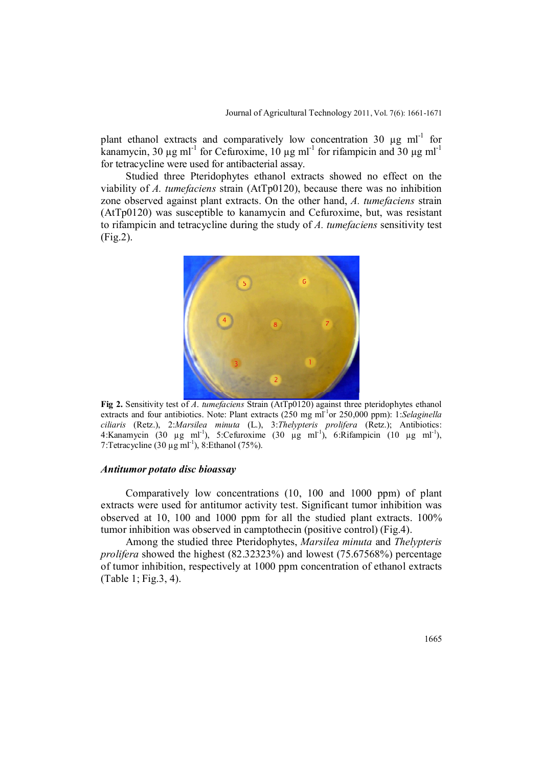plant ethanol extracts and comparatively low concentration 30  $\mu$ g ml<sup>-1</sup> for kanamycin, 30  $\mu$ g ml<sup>-1</sup> for Cefuroxime, 10  $\mu$ g ml<sup>-1</sup> for rifampicin and 30  $\mu$ g ml<sup>-1</sup> for tetracycline were used for antibacterial assay.

Studied three Pteridophytes ethanol extracts showed no effect on the viability of *A. tumefaciens* strain (AtTp0120), because there was no inhibition zone observed against plant extracts. On the other hand, *A. tumefaciens* strain (AtTp0120) was susceptible to kanamycin and Cefuroxime, but, was resistant to rifampicin and tetracycline during the study of *A. tumefaciens* sensitivity test (Fig.2).



**Fig 2.** Sensitivity test of *A*. *tumefaciens* Strain (AtTp0120) against three pteridophytes ethanol extracts and four antibiotics. Note: Plant extracts (250 mg ml<sup>-1</sup>or 250,000 ppm): 1:*Selaginella ciliaris* (Retz.), 2:*Marsilea minuta* (L.), 3:*Thelypteris prolifera* (Retz.); Antibiotics: 4:Kanamycin (30 µg ml<sup>-1</sup>), 5:Cefuroxime (30 µg ml<sup>-1</sup>), 6:Rifampicin (10 µg ml<sup>-1</sup>), 7: Tetracycline  $(30 \mu g \text{ ml}^{-1})$ , 8: Ethanol  $(75\%)$ .

### *Antitumor potato disc bioassay*

Comparatively low concentrations (10, 100 and 1000 ppm) of plant extracts were used for antitumor activity test. Significant tumor inhibition was observed at 10, 100 and 1000 ppm for all the studied plant extracts. 100% tumor inhibition was observed in camptothecin (positive control) (Fig.4).

Among the studied three Pteridophytes, *Marsilea minuta* and *Thelypteris prolifera* showed the highest (82.32323%) and lowest (75.67568%) percentage of tumor inhibition, respectively at 1000 ppm concentration of ethanol extracts (Table 1; Fig.3, 4).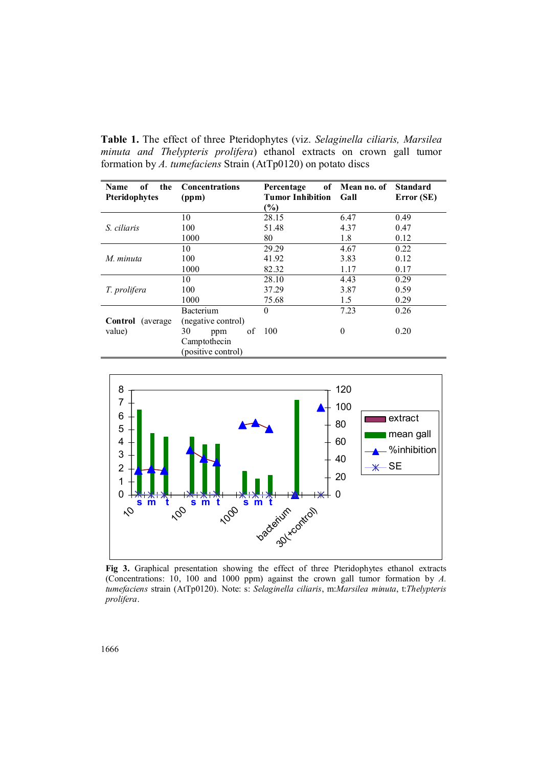**Table 1.** The effect of three Pteridophytes (viz. *Selaginella ciliaris, Marsilea minuta and Thelypteris prolifera*) ethanol extracts on crown gall tumor formation by *A. tumefaciens* Strain (AtTp0120) on potato discs

| of<br>the<br>Name    | <b>Concentrations</b> | Percentage              | of Mean no. of | <b>Standard</b> |
|----------------------|-----------------------|-------------------------|----------------|-----------------|
| Pteridophytes        | (ppm)                 | <b>Tumor Inhibition</b> | Gall           | Error (SE)      |
|                      |                       | $(\%)$                  |                |                 |
| <i>S</i> ciliaris    | 10                    | 28.15                   | 6.47           | 0.49            |
|                      | 100                   | 51.48                   | 4.37           | 0.47            |
|                      | 1000                  | 80                      | 1.8            | 0.12            |
| M. minuta            | 10                    | 29.29                   | 4.67           | 0.22            |
|                      | 100                   | 41.92                   | 3.83           | 0.12            |
|                      | 1000                  | 82.32                   | 1.17           | 0.17            |
| T. prolifera         | 10                    | 28.10                   | 4.43           | 0.29            |
|                      | 100                   | 37.29                   | 3.87           | 0.59            |
|                      | 1000                  | 75.68                   | 1.5            | 0.29            |
|                      | Bacterium             | 0                       | 7.23           | 0.26            |
| Control<br>(average) | (negative control)    |                         |                |                 |
| value)               | of<br>30<br>ppm       | 100                     | $\theta$       | 0.20            |
|                      | Camptothecin          |                         |                |                 |
|                      | (positive control)    |                         |                |                 |



**Fig 3.** Graphical presentation showing the effect of three Pteridophytes ethanol extracts (Concentrations: 10, 100 and 1000 ppm) against the crown gall tumor formation by *A. tumefaciens* strain (AtTp0120). Note: s: *Selaginella ciliaris*, m:*Marsilea minuta*, t:*Thelypteris prolifera*.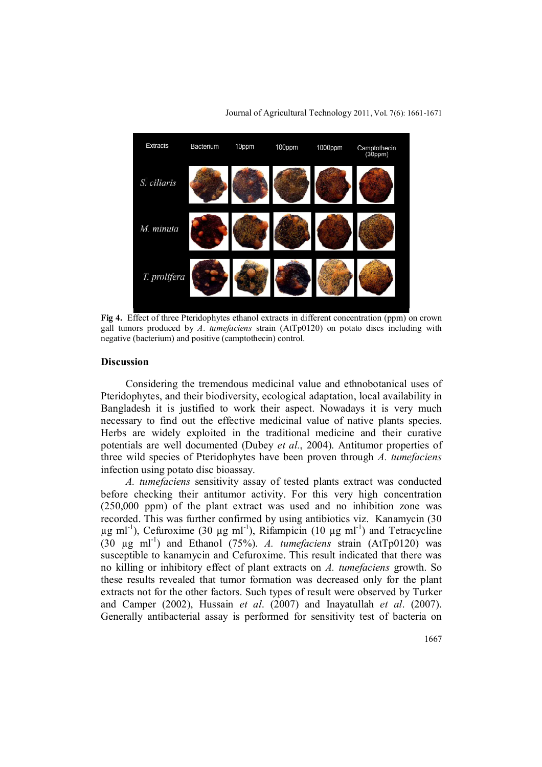

Journal of Agricultural Technology 2011, Vol. 7(6): 1661-1671

**Fig 4.** Effect of three Pteridophytes ethanol extracts in different concentration (ppm) on crown gall tumors produced by *A*. *tumefaciens* strain (AtTp0120) on potato discs including with negative (bacterium) and positive (camptothecin) control.

#### **Discussion**

Considering the tremendous medicinal value and ethnobotanical uses of Pteridophytes, and their biodiversity, ecological adaptation, local availability in Bangladesh it is justified to work their aspect. Nowadays it is very much necessary to find out the effective medicinal value of native plants species. Herbs are widely exploited in the traditional medicine and their curative potentials are well documented (Dubey *et al.*, 2004). Antitumor properties of three wild species of Pteridophytes have been proven through *A. tumefaciens* infection using potato disc bioassay.

*A. tumefaciens* sensitivity assay of tested plants extract was conducted before checking their antitumor activity. For this very high concentration (250,000 ppm) of the plant extract was used and no inhibition zone was recorded. This was further confirmed by using antibiotics viz. Kanamycin (30  $\mu$ g ml<sup>-1</sup>), Cefuroxime (30  $\mu$ g ml<sup>-1</sup>), Rifampicin (10  $\mu$ g ml<sup>-1</sup>) and Tetracycline  $(30 \text{ µg ml}^{-1})$  and Ethanol  $(75\%)$ . *A. tumefaciens* strain  $(AtTp0120)$  was susceptible to kanamycin and Cefuroxime. This result indicated that there was no killing or inhibitory effect of plant extracts on *A. tumefaciens* growth. So these results revealed that tumor formation was decreased only for the plant extracts not for the other factors. Such types of result were observed by Turker and Camper (2002), Hussain *et al*. (2007) and Inayatullah *et al*. (2007). Generally antibacterial assay is performed for sensitivity test of bacteria on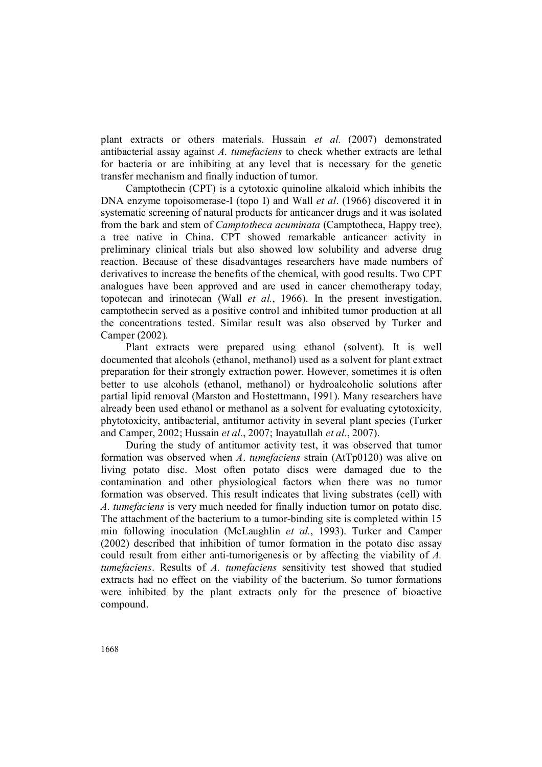plant extracts or others materials. Hussain *et al.* (2007) demonstrated antibacterial assay against *A. tumefaciens* to check whether extracts are lethal for bacteria or are inhibiting at any level that is necessary for the genetic transfer mechanism and finally induction of tumor.

Camptothecin (CPT) is a cytotoxic quinoline alkaloid which inhibits the DNA enzyme topoisomerase-I (topo I) and Wall *et al*. (1966) discovered it in systematic screening of natural products for anticancer drugs and it was isolated from the bark and stem of *Camptotheca acuminata* (Camptotheca, Happy tree), a tree native in China. CPT showed remarkable anticancer activity in preliminary clinical trials but also showed low solubility and adverse drug reaction. Because of these disadvantages researchers have made numbers of derivatives to increase the benefits of the chemical, with good results. Two CPT analogues have been approved and are used in cancer chemotherapy today, topotecan and irinotecan (Wall *et al.*, 1966). In the present investigation, camptothecin served as a positive control and inhibited tumor production at all the concentrations tested. Similar result was also observed by Turker and Camper (2002).

Plant extracts were prepared using ethanol (solvent). It is well documented that alcohols (ethanol, methanol) used as a solvent for plant extract preparation for their strongly extraction power. However, sometimes it is often better to use alcohols (ethanol, methanol) or hydroalcoholic solutions after partial lipid removal (Marston and Hostettmann, 1991). Many researchers have already been used ethanol or methanol as a solvent for evaluating cytotoxicity, phytotoxicity, antibacterial, antitumor activity in several plant species (Turker and Camper, 2002; Hussain *et al.*, 2007; Inayatullah *et al.*, 2007).

During the study of antitumor activity test, it was observed that tumor formation was observed when *A*. *tumefaciens* strain (AtTp0120) was alive on living potato disc. Most often potato discs were damaged due to the contamination and other physiological factors when there was no tumor formation was observed. This result indicates that living substrates (cell) with *A. tumefaciens* is very much needed for finally induction tumor on potato disc. The attachment of the bacterium to a tumor-binding site is completed within 15 min following inoculation (McLaughlin *et al.*, 1993). Turker and Camper (2002) described that inhibition of tumor formation in the potato disc assay could result from either anti-tumorigenesis or by affecting the viability of *A. tumefaciens*. Results of *A. tumefaciens* sensitivity test showed that studied extracts had no effect on the viability of the bacterium. So tumor formations were inhibited by the plant extracts only for the presence of bioactive compound.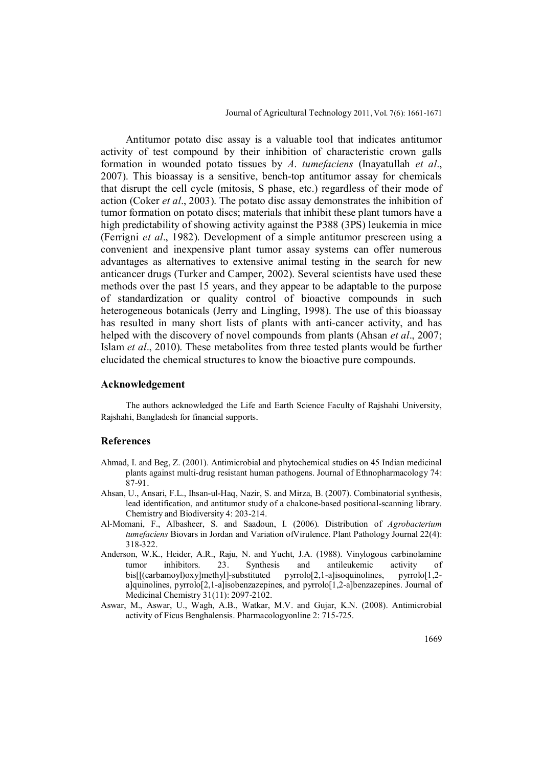Antitumor potato disc assay is a valuable tool that indicates antitumor activity of test compound by their inhibition of characteristic crown galls formation in wounded potato tissues by *A*. *tumefaciens* (Inayatullah *et al*., 2007). This bioassay is a sensitive, bench-top antitumor assay for chemicals that disrupt the cell cycle (mitosis, S phase, etc.) regardless of their mode of action (Coker *et al*., 2003). The potato disc assay demonstrates the inhibition of tumor formation on potato discs; materials that inhibit these plant tumors have a high predictability of showing activity against the P388 (3PS) leukemia in mice (Ferrigni *et al*., 1982). Development of a simple antitumor prescreen using a convenient and inexpensive plant tumor assay systems can offer numerous advantages as alternatives to extensive animal testing in the search for new anticancer drugs (Turker and Camper, 2002). Several scientists have used these methods over the past 15 years, and they appear to be adaptable to the purpose of standardization or quality control of bioactive compounds in such heterogeneous botanicals (Jerry and Lingling, 1998). The use of this bioassay has resulted in many short lists of plants with anti-cancer activity, and has helped with the discovery of novel compounds from plants (Ahsan *et al*., 2007; Islam *et al*., 2010). These metabolites from three tested plants would be further elucidated the chemical structures to know the bioactive pure compounds.

### **Acknowledgement**

The authors acknowledged the Life and Earth Science Faculty of Rajshahi University, Rajshahi, Bangladesh for financial supports.

#### **References**

- Ahmad, I. and Beg, Z. (2001). Antimicrobial and phytochemical studies on 45 Indian medicinal plants against multi-drug resistant human pathogens. Journal of Ethnopharmacology 74: 87-91.
- Ahsan, U., Ansari, F.L., Ihsan-ul-Haq, Nazir, S. and Mirza, B. (2007). Combinatorial synthesis, lead identification, and antitumor study of a chalcone-based positional-scanning library. Chemistry and Biodiversity 4: 203-214.
- Al-Momani, F., Albasheer, S. and Saadoun, I. (2006). Distribution of *Agrobacterium tumefaciens* Biovars in Jordan and Variation ofVirulence. Plant Pathology Journal 22(4): 318-322.
- Anderson, W.K., Heider, A.R., Raju, N. and Yucht, J.A. (1988). Vinylogous carbinolamine tumor inhibitors. 23. Synthesis and antileukemic activity of bis[[(carbamoyl)oxy]methyl]-substituted pyrrolo[2,1-a]isoquinolines, pyrrolo[1,2 a]quinolines, pyrrolo[2,1-a]isobenzazepines, and pyrrolo[1,2-a]benzazepines. Journal of Medicinal Chemistry 31(11): 2097-2102.
- Aswar, M., Aswar, U., Wagh, A.B., Watkar, M.V. and Gujar, K.N. (2008). Antimicrobial activity of Ficus Benghalensis. Pharmacologyonline 2: 715-725.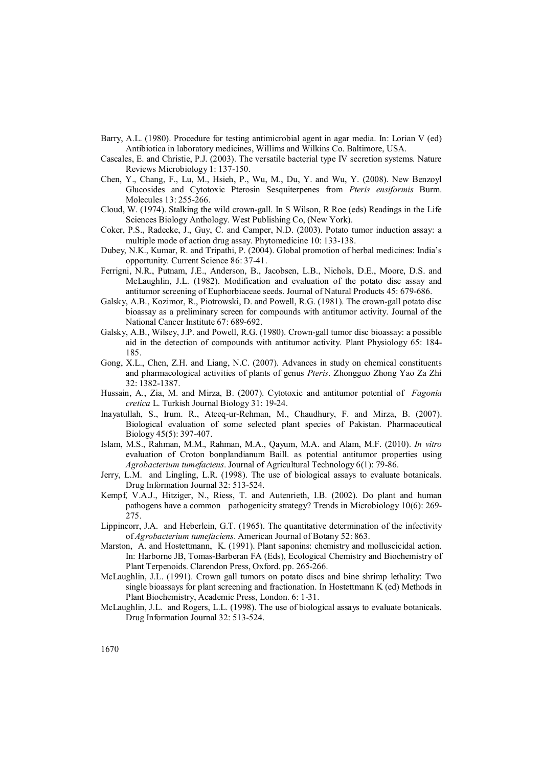- Barry, A.L. (1980). Procedure for testing antimicrobial agent in agar media. In: Lorian V (ed) Antibiotica in laboratory medicines, Willims and Wilkins Co. Baltimore, USA.
- Cascales, E. and Christie, P.J. (2003). The versatile bacterial type IV secretion systems. Nature Reviews Microbiology 1: 137-150.
- Chen, Y., Chang, F., Lu, M., Hsieh, P., Wu, M., Du, Y. and Wu, Y. (2008). New Benzoyl Glucosides and Cytotoxic Pterosin Sesquiterpenes from *Pteris ensiformis* Burm. Molecules 13: 255-266.
- Cloud, W. (1974). Stalking the wild crown-gall. In S Wilson, R Roe (eds) Readings in the Life Sciences Biology Anthology. West Publishing Co, (New York).
- Coker, P.S., Radecke, J., Guy, C. and Camper, N.D. (2003). Potato tumor induction assay: a multiple mode of action drug assay. Phytomedicine 10: 133-138.
- Dubey, N.K., Kumar, R. and Tripathi, P. (2004). Global promotion of herbal medicines: India's opportunity. Current Science 86: 37-41.
- Ferrigni, N.R., Putnam, J.E., Anderson, B., Jacobsen, L.B., Nichols, D.E., Moore, D.S. and McLaughlin, J.L. (1982). Modification and evaluation of the potato disc assay and antitumor screening of Euphorbiaceae seeds. Journal of Natural Products 45: 679-686.
- Galsky, A.B., Kozimor, R., Piotrowski, D. and Powell, R.G. (1981). The crown-gall potato disc bioassay as a preliminary screen for compounds with antitumor activity. Journal of the National Cancer Institute 67: 689-692.
- Galsky, A.B., Wilsey, J.P. and Powell, R.G. (1980). Crown-gall tumor disc bioassay: a possible aid in the detection of compounds with antitumor activity. Plant Physiology 65: 184- 185.
- Gong, X.L., Chen, Z.H. and Liang, N.C. (2007). Advances in study on chemical constituents and pharmacological activities of plants of genus *Pteris*. Zhongguo Zhong Yao Za Zhi 32: 1382-1387.
- Hussain, A., Zia, M. and Mirza, B. (2007). Cytotoxic and antitumor potential of *Fagonia cretica* L. Turkish Journal Biology 31: 19-24.
- Inayatullah, S., Irum. R., Ateeq-ur-Rehman, M., Chaudhury, F. and Mirza, B. (2007). Biological evaluation of some selected plant species of Pakistan. Pharmaceutical Biology 45(5): 397-407.
- Islam, M.S., Rahman, M.M., Rahman, M.A., Qayum, M.A. and Alam, M.F. (2010). *In vitro* evaluation of Croton bonplandianum Baill. as potential antitumor properties using *Agrobacterium tumefaciens*. Journal of Agricultural Technology 6(1): 79-86.
- Jerry, L.M. and Lingling, L.R. (1998). The use of biological assays to evaluate botanicals. Drug Information Journal 32: 513-524.
- Kempf, V.A.J., Hitziger, N., Riess, T. and Autenrieth, I.B. (2002). Do plant and human pathogens have a common pathogenicity strategy? Trends in Microbiology 10(6): 269- 275.
- Lippincorr, J.A. and Heberlein, G.T. (1965). The quantitative determination of the infectivity of *Agrobacterium tumefaciens*. American Journal of Botany 52: 863.
- Marston, A. and Hostettmann, K. (1991). Plant saponins: chemistry and molluscicidal action. In: Harborne JB, Tomas-Barberan FA (Eds), Ecological Chemistry and Biochemistry of Plant Terpenoids. Clarendon Press, Oxford. pp. 265-266.
- McLaughlin, J.L. (1991). Crown gall tumors on potato discs and bine shrimp lethality: Two single bioassays for plant screening and fractionation. In Hostettmann K (ed) Methods in Plant Biochemistry, Academic Press, London. 6: 1-31.
- McLaughlin, J.L. and Rogers, L.L. (1998). The use of biological assays to evaluate botanicals. Drug Information Journal 32: 513-524.